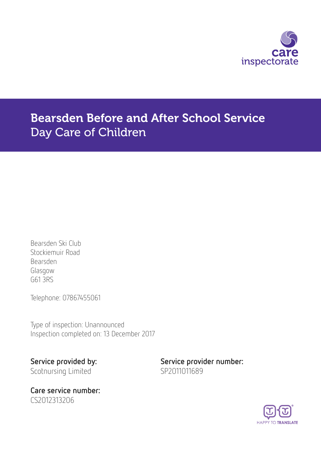

# Bearsden Before and After School Service Day Care of Children

Bearsden Ski Club Stockiemuir Road Bearsden Glasgow G61 3RS

Telephone: 07867455061

Type of inspection: Unannounced Inspection completed on: 13 December 2017

Scotnursing Limited SP2011011689

Care service number: CS2012313206

Service provided by: Service provider number:

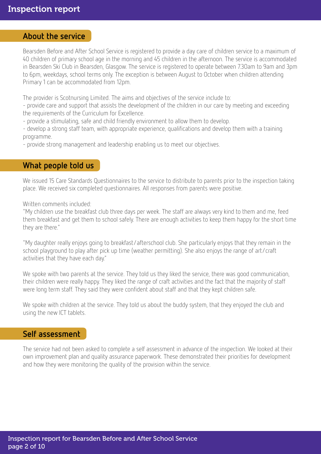### About the service

Bearsden Before and After School Service is registered to provide a day care of children service to a maximum of 40 children of primary school age in the morning and 45 children in the afternoon. The service is accommodated in Bearsden Ski Club in Bearsden, Glasgow. The service is registered to operate between 7.30am to 9am and 3pm to 6pm, weekdays, school terms only. The exception is between August to October when children attending Primary 1 can be accommodated from 12pm.

The provider is Scotnursing Limited. The aims and objectives of the service include to:

- provide care and support that assists the development of the children in our care by meeting and exceeding the requirements of the Curriculum for Excellence.

- provide a stimulating, safe and child friendly environment to allow them to develop.

- develop a strong staff team, with appropriate experience, qualifications and develop them with a training programme.

- provide strong management and leadership enabling us to meet our objectives.

### What people told us

We issued 15 Care Standards Questionnaires to the service to distribute to parents prior to the inspection taking place. We received six completed questionnaires. All responses from parents were positive.

Written comments included:

"My children use the breakfast club three days per week. The staff are always very kind to them and me, feed them breakfast and get them to school safely. There are enough activities to keep them happy for the short time they are there."

"My daughter really enjoys going to breakfast/afterschool club. She particularly enjoys that they remain in the school playground to play after pick up time (weather permitting). She also enjoys the range of art/craft activities that they have each day."

We spoke with two parents at the service. They told us they liked the service, there was good communication, their children were really happy. They liked the range of craft activities and the fact that the majority of staff were long term staff. They said they were confident about staff and that they kept children safe.

We spoke with children at the service. They told us about the buddy system, that they enjoyed the club and using the new ICT tablets.

### Self assessment

The service had not been asked to complete a self assessment in advance of the inspection. We looked at their own improvement plan and quality assurance paperwork. These demonstrated their priorities for development and how they were monitoring the quality of the provision within the service.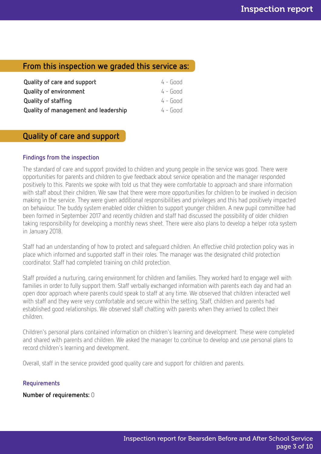# From this inspection we graded this service as:

| Quality of care and support          | $4 - 600d$ |
|--------------------------------------|------------|
| <b>Quality of environment</b>        | $4 - 600d$ |
| <b>Quality of staffing</b>           | 4 - Good   |
| Quality of management and leadership | 4 - Good   |

# Quality of care and support

#### Findings from the inspection

The standard of care and support provided to children and young people in the service was good. There were opportunities for parents and children to give feedback about service operation and the manager responded positively to this. Parents we spoke with told us that they were comfortable to approach and share information with staff about their children. We saw that there were more opportunities for children to be involved in decision making in the service. They were given additional responsibilities and privileges and this had positively impacted on behaviour. The buddy system enabled older children to support younger children. A new pupil committee had been formed in September 2017 and recently children and staff had discussed the possibility of older children taking responsibility for developing a monthly news sheet. There were also plans to develop a helper rota system in January 2018.

Staff had an understanding of how to protect and safeguard children. An effective child protection policy was in place which informed and supported staff in their roles. The manager was the designated child protection coordinator. Staff had completed training on child protection.

Staff provided a nurturing, caring environment for children and families. They worked hard to engage well with families in order to fully support them. Staff verbally exchanged information with parents each day and had an open door approach where parents could speak to staff at any time. We observed that children interacted well with staff and they were very comfortable and secure within the setting. Staff, children and parents had established good relationships. We observed staff chatting with parents when they arrived to collect their children.

Children's personal plans contained information on children's learning and development. These were completed and shared with parents and children. We asked the manager to continue to develop and use personal plans to record children's learning and development.

Overall, staff in the service provided good quality care and support for children and parents.

#### **Requirements**

Number of requirements: 0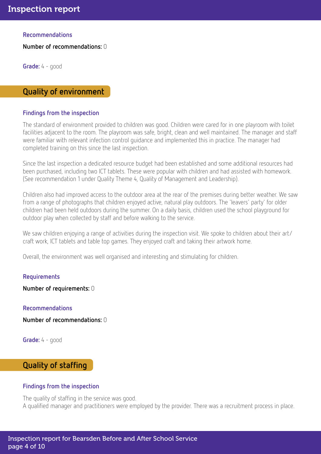Recommendations

Number of recommendations: 0

Grade: 4 - good

### Quality of environment

#### Findings from the inspection

The standard of environment provided to children was good. Children were cared for in one playroom with toilet facilities adjacent to the room. The playroom was safe, bright, clean and well maintained. The manager and staff were familiar with relevant infection control guidance and implemented this in practice. The manager had completed training on this since the last inspection.

Since the last inspection a dedicated resource budget had been established and some additional resources had been purchased, including two ICT tablets. These were popular with children and had assisted with homework. (See recommendation 1 under Quality Theme 4, Quality of Management and Leadership).

Children also had improved access to the outdoor area at the rear of the premises during better weather. We saw from a range of photographs that children enjoyed active, natural play outdoors. The 'leavers' party' for older children had been held outdoors during the summer. On a daily basis, children used the school playground for outdoor play when collected by staff and before walking to the service.

We saw children enjoying a range of activities during the inspection visit. We spoke to children about their art/ craft work, ICT tablets and table top games. They enjoyed craft and taking their artwork home.

Overall, the environment was well organised and interesting and stimulating for children.

#### Requirements

Number of requirements: 0

Recommendations

Number of recommendations: 0

Grade: 4 - good

## Quality of staffing

#### Findings from the inspection

The quality of staffing in the service was good. A qualified manager and practitioners were employed by the provider. There was a recruitment process in place.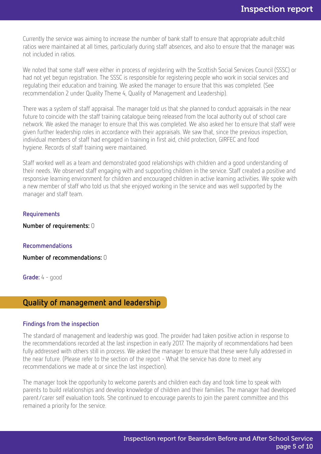Currently the service was aiming to increase the number of bank staff to ensure that appropriate adult:child ratios were maintained at all times, particularly during staff absences, and also to ensure that the manager was not included in ratios.

We noted that some staff were either in process of registering with the Scottish Social Services Council (SSSC) or had not yet begun registration. The SSSC is responsible for registering people who work in social services and regulating their education and training. We asked the manager to ensure that this was completed. (See recommendation 2 under Quality Theme 4, Quality of Management and Leadership).

There was a system of staff appraisal. The manager told us that she planned to conduct appraisals in the near future to coincide with the staff training catalogue being released from the local authority out of school care network. We asked the manager to ensure that this was completed. We also asked her to ensure that staff were given further leadership roles in accordance with their appraisals. We saw that, since the previous inspection, individual members of staff had engaged in training in first aid, child protection, GIRFEC and food hygiene. Records of staff training were maintained.

Staff worked well as a team and demonstrated good relationships with children and a good understanding of their needs. We observed staff engaging with and supporting children in the service. Staff created a positive and responsive learning environment for children and encouraged children in active learning activities. We spoke with a new member of staff who told us that she enjoyed working in the service and was well supported by the manager and staff team.

#### Requirements

Number of requirements: 0

#### Recommendations

Number of recommendations: 0

Grade: 4 - good

### Quality of management and leadership

#### Findings from the inspection

The standard of management and leadership was good. The provider had taken positive action in response to the recommendations recorded at the last inspection in early 2017. The majority of recommendations had been fully addressed with others still in process. We asked the manager to ensure that these were fully addressed in the near future. (Please refer to the section of the report - What the service has done to meet any recommendations we made at or since the last inspection).

The manager took the opportunity to welcome parents and children each day and took time to speak with parents to build relationships and develop knowledge of children and their families. The manager had developed parent/carer self evaluation tools. She continued to encourage parents to join the parent committee and this remained a priority for the service.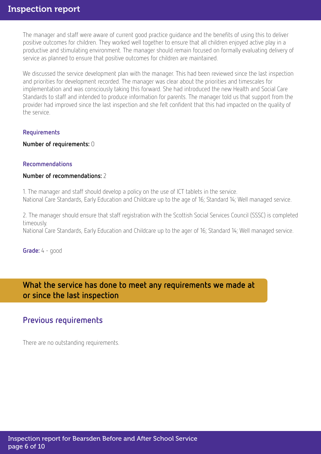The manager and staff were aware of current good practice guidance and the benefits of using this to deliver positive outcomes for children. They worked well together to ensure that all children enjoyed active play in a productive and stimulating environment. The manager should remain focused on formally evaluating delivery of service as planned to ensure that positive outcomes for children are maintained.

We discussed the service development plan with the manager. This had been reviewed since the last inspection and priorities for development recorded. The manager was clear about the priorities and timescales for implementation and was consciously taking this forward. She had introduced the new Health and Social Care Standards to staff and intended to produce information for parents. The manager told us that support from the provider had improved since the last inspection and she felt confident that this had impacted on the quality of the service.

#### Requirements

Number of requirements: 0

#### Recommendations

#### Number of recommendations: 2

1. The manager and staff should develop a policy on the use of ICT tablets in the service. National Care Standards, Early Education and Childcare up to the age of 16; Standard 14; Well managed service.

2. The manager should ensure that staff registration with the Scottish Social Services Council (SSSC) is completed timeously.

National Care Standards, Early Education and Childcare up to the ager of 16; Standard 14; Well managed service.

Grade: 4 - good

What the service has done to meet any requirements we made at or since the last inspection

# Previous requirements

There are no outstanding requirements.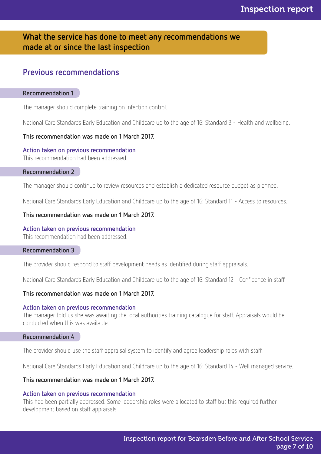# What the service has done to meet any recommendations we made at or since the last inspection

# Previous recommendations

#### Recommendation 1

The manager should complete training on infection control.

National Care Standards Early Education and Childcare up to the age of 16: Standard 3 - Health and wellbeing.

#### This recommendation was made on 1 March 2017.

#### Action taken on previous recommendation

This recommendation had been addressed.

#### Recommendation 2

The manager should continue to review resources and establish a dedicated resource budget as planned.

National Care Standards Early Education and Childcare up to the age of 16: Standard 11 - Access to resources.

#### This recommendation was made on 1 March 2017.

#### Action taken on previous recommendation

This recommendation had been addressed.

#### Recommendation 3

The provider should respond to staff development needs as identified during staff appraisals.

National Care Standards Early Education and Childcare up to the age of 16: Standard 12 - Confidence in staff.

#### This recommendation was made on 1 March 2017.

#### Action taken on previous recommendation

The manager told us she was awaiting the local authorities training catalogue for staff. Appraisals would be conducted when this was available.

#### Recommendation 4

The provider should use the staff appraisal system to identify and agree leadership roles with staff.

National Care Standards Early Education and Childcare up to the age of 16: Standard 14 - Well managed service.

#### This recommendation was made on 1 March 2017.

#### Action taken on previous recommendation

This had been partially addressed. Some leadership roles were allocated to staff but this required further development based on staff appraisals.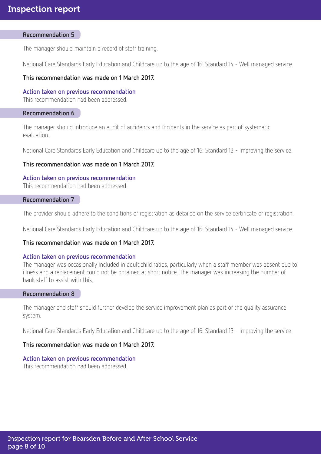#### Recommendation 5

The manager should maintain a record of staff training.

National Care Standards Early Education and Childcare up to the age of 16: Standard 14 - Well managed service.

#### This recommendation was made on 1 March 2017.

#### Action taken on previous recommendation

This recommendation had been addressed.

#### Recommendation 6

The manager should introduce an audit of accidents and incidents in the service as part of systematic evaluation.

National Care Standards Early Education and Childcare up to the age of 16: Standard 13 - Improving the service.

#### This recommendation was made on 1 March 2017.

#### Action taken on previous recommendation

This recommendation had been addressed.

#### Recommendation 7

The provider should adhere to the conditions of registration as detailed on the service certificate of registration.

National Care Standards Early Education and Childcare up to the age of 16: Standard 14 - Well managed service.

#### This recommendation was made on 1 March 2017.

#### Action taken on previous recommendation

The manager was occasionally included in adult:child ratios, particularly when a staff member was absent due to illness and a replacement could not be obtained at short notice. The manager was increasing the number of bank staff to assist with this.

#### Recommendation 8

The manager and staff should further develop the service improvement plan as part of the quality assurance system.

National Care Standards Early Education and Childcare up to the age of 16: Standard 13 - Improving the service.

#### This recommendation was made on 1 March 2017.

#### Action taken on previous recommendation

This recommendation had been addressed.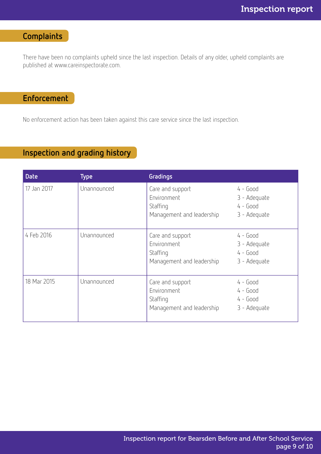# **Complaints**

There have been no complaints upheld since the last inspection. Details of any older, upheld complaints are published at www.careinspectorate.com.

# Enforcement

No enforcement action has been taken against this care service since the last inspection.

# Inspection and grading history

| <b>Date</b> | <b>Type</b> | Gradings                                                                 |                                                          |
|-------------|-------------|--------------------------------------------------------------------------|----------------------------------------------------------|
| 17 Jan 2017 | Unannounced | Care and support<br>Environment<br>Staffing<br>Management and leadership | $4 - Good$<br>3 - Adequate<br>$4 - Good$<br>3 - Adequate |
| 4 Feb 2016  | Unannounced | Care and support<br>Environment<br>Staffing<br>Management and leadership | $4 - Good$<br>3 - Adequate<br>$4 - Good$<br>3 - Adequate |
| 18 Mar 2015 | Unannounced | Care and support<br>Environment<br>Staffing<br>Management and leadership | $4 - Good$<br>$4 - Good$<br>$4 - Good$<br>3 - Adequate   |